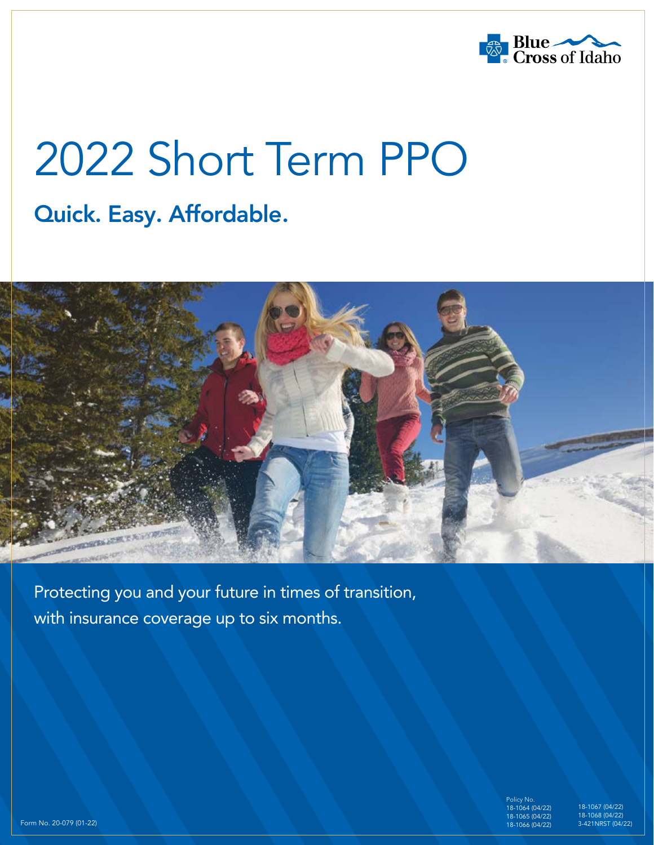

# 2022 Short Term PPO

### Quick. Easy. Affordable.



Protecting you and your future in times of transition, with insurance coverage up to six months.

> Policy No. 18-1064 (04/22) 065 (04/22) 18-1066 (04/22)

18-1067 (04/22) 18-1068 (04/22) 3-421NRST (04/22)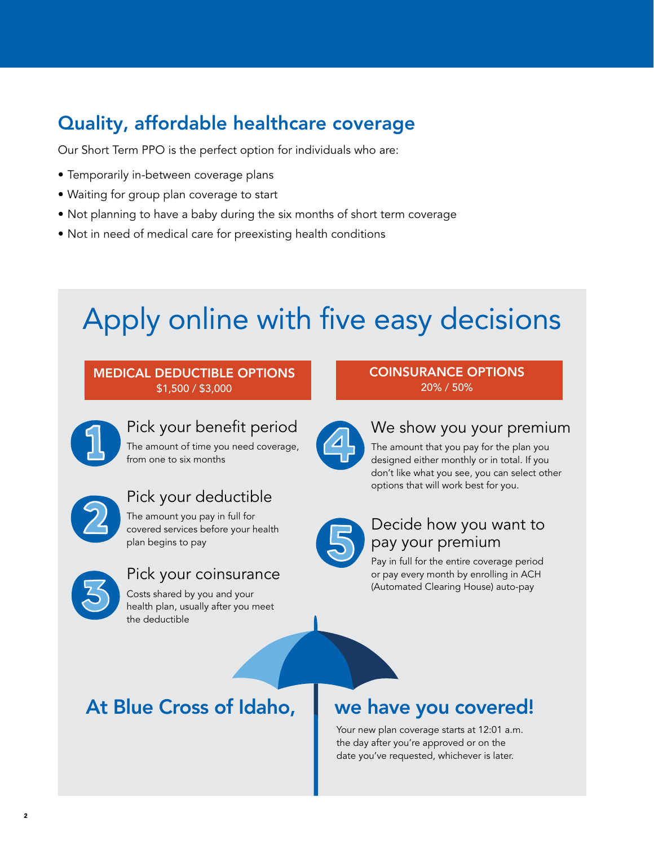### Quality, affordable healthcare coverage

Our Short Term PPO is the perfect option for individuals who are:

- Temporarily in-between coverage plans
- Waiting for group plan coverage to start
- Not planning to have a baby during the six months of short term coverage
- Not in need of medical care for preexisting health conditions

# Apply online with five easy decisions

#### MEDICAL DEDUCTIBLE OPTIONS \$1,500 / \$3,000

from one to six months

plan begins to pay

#### COINSURANCE OPTIONS 20% / 50%



### We show you your premium

The amount that you pay for the plan you designed either monthly or in total. If you don't like what you see, you can select other options that will work best for you.



### Decide how you want to pay your premium

Pay in full for the entire coverage period or pay every month by enrolling in ACH (Automated Clearing House) auto-pay

### At Blue Cross of Idaho, we have you covered!

Your new plan coverage starts at 12:01 a.m. the day after you're approved or on the date you've requested, whichever is later.



### Pick your coinsurance

Pick your deductible The amount you pay in full for covered services before your health

Costs shared by you and your health plan, usually after you meet the deductible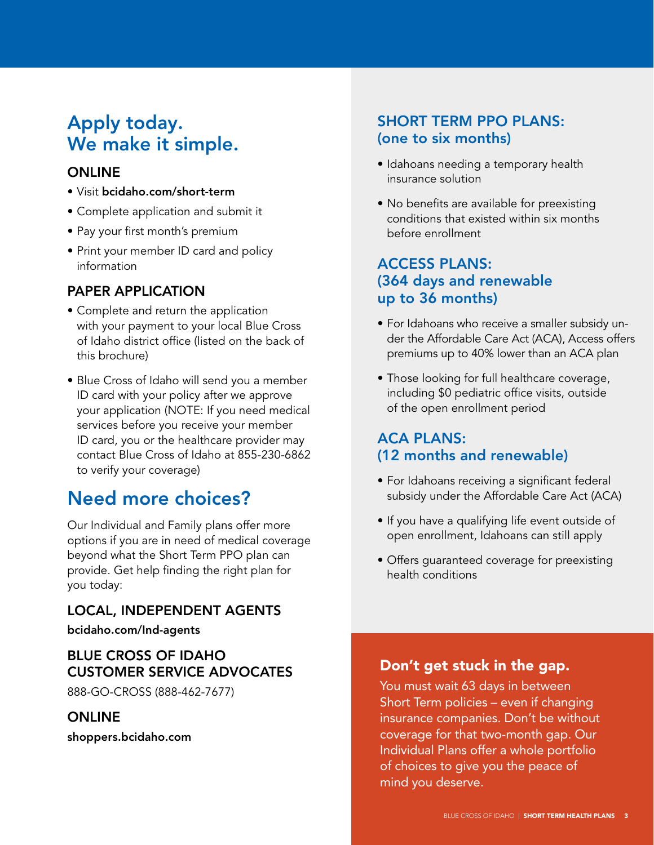### Apply today. We make it simple.

### **ONLINE**

- Visit bcidaho.com/short-term
- Complete application and submit it
- Pay your first month's premium
- Print your member ID card and policy information

### PAPER APPLICATION

- Complete and return the application with your payment to your local Blue Cross of Idaho district office (listed on the back of this brochure)
- Blue Cross of Idaho will send you a member ID card with your policy after we approve your application (NOTE: If you need medical services before you receive your member ID card, you or the healthcare provider may contact Blue Cross of Idaho at 855-230-6862 to verify your coverage)

### Need more choices?

Our Individual and Family plans offer more options if you are in need of medical coverage beyond what the Short Term PPO plan can provide. Get help finding the right plan for you today:

### LOCAL, INDEPENDENT AGENTS

bcidaho.com/Ind-agents

### BLUE CROSS OF IDAHO CUSTOMER SERVICE ADVOCATES

888-GO-CROSS (888-462-7677)

### ONLINE

shoppers.bcidaho.com

### SHORT TERM PPO PLANS: (one to six months)

- Idahoans needing a temporary health insurance solution
- No benefits are available for preexisting conditions that existed within six months before enrollment

### ACCESS PLANS: (364 days and renewable up to 36 months)

- For Idahoans who receive a smaller subsidy under the Affordable Care Act (ACA), Access offers premiums up to 40% lower than an ACA plan
- Those looking for full healthcare coverage, including \$0 pediatric office visits, outside of the open enrollment period

### ACA PLANS: (12 months and renewable)

- For Idahoans receiving a significant federal subsidy under the Affordable Care Act (ACA)
- If you have a qualifying life event outside of open enrollment, Idahoans can still apply
- Offers guaranteed coverage for preexisting health conditions

### Don't get stuck in the gap.

You must wait 63 days in between Short Term policies – even if changing insurance companies. Don't be without coverage for that two-month gap. Our Individual Plans offer a whole portfolio of choices to give you the peace of mind you deserve.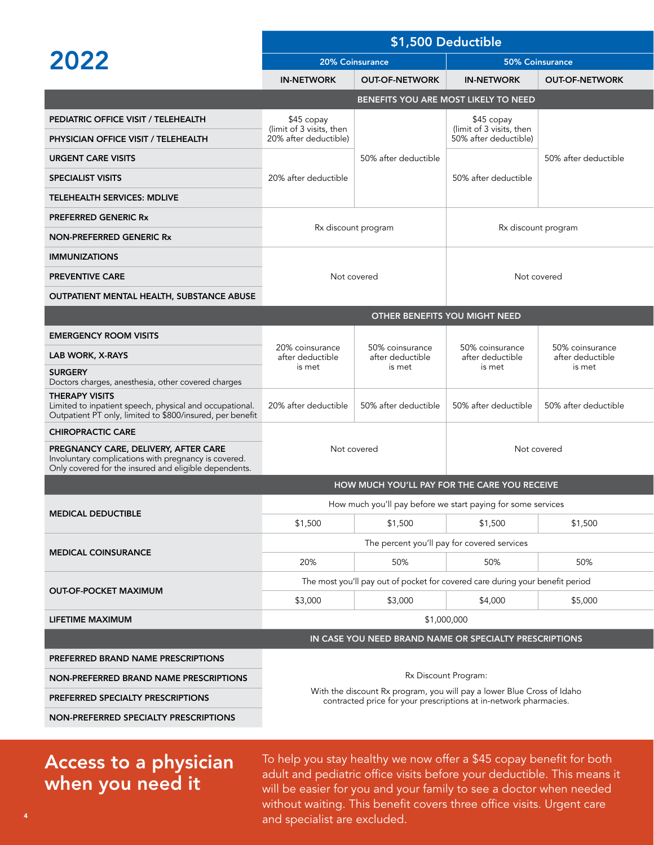| 2022                                                                                                                                                  | \$1,500 Deductible                                                                                                                          |                                               |                                        |                                     |  |  |
|-------------------------------------------------------------------------------------------------------------------------------------------------------|---------------------------------------------------------------------------------------------------------------------------------------------|-----------------------------------------------|----------------------------------------|-------------------------------------|--|--|
|                                                                                                                                                       | 20% Coinsurance                                                                                                                             |                                               | 50% Coinsurance                        |                                     |  |  |
|                                                                                                                                                       | <b>IN-NETWORK</b>                                                                                                                           | <b>OUT-OF-NETWORK</b>                         | <b>IN-NETWORK</b>                      | <b>OUT-OF-NETWORK</b>               |  |  |
|                                                                                                                                                       |                                                                                                                                             |                                               | BENEFITS YOU ARE MOST LIKELY TO NEED   |                                     |  |  |
| PEDIATRIC OFFICE VISIT / TELEHEALTH                                                                                                                   | $$45$ copay<br>(limit of 3 visits, then                                                                                                     |                                               | \$45 copay<br>(limit of 3 visits, then |                                     |  |  |
| PHYSICIAN OFFICE VISIT / TELEHEALTH                                                                                                                   | 20% after deductible)                                                                                                                       |                                               | 50% after deductible)                  |                                     |  |  |
| <b>URGENT CARE VISITS</b>                                                                                                                             | 20% after deductible                                                                                                                        | 50% after deductible                          | 50% after deductible                   | 50% after deductible                |  |  |
| <b>SPECIALIST VISITS</b>                                                                                                                              |                                                                                                                                             |                                               |                                        |                                     |  |  |
| <b>TELEHEALTH SERVICES: MDLIVE</b>                                                                                                                    |                                                                                                                                             |                                               |                                        |                                     |  |  |
| <b>PREFERRED GENERIC Rx</b>                                                                                                                           |                                                                                                                                             |                                               |                                        |                                     |  |  |
| NON-PREFERRED GENERIC Rx                                                                                                                              |                                                                                                                                             | Rx discount program                           | Rx discount program                    |                                     |  |  |
| <b>IMMUNIZATIONS</b>                                                                                                                                  |                                                                                                                                             |                                               |                                        |                                     |  |  |
| <b>PREVENTIVE CARE</b>                                                                                                                                |                                                                                                                                             | Not covered                                   | Not covered                            |                                     |  |  |
| OUTPATIENT MENTAL HEALTH, SUBSTANCE ABUSE                                                                                                             |                                                                                                                                             |                                               |                                        |                                     |  |  |
|                                                                                                                                                       |                                                                                                                                             |                                               | OTHER BENEFITS YOU MIGHT NEED          |                                     |  |  |
| <b>EMERGENCY ROOM VISITS</b>                                                                                                                          |                                                                                                                                             |                                               |                                        |                                     |  |  |
| LAB WORK, X-RAYS                                                                                                                                      | 20% coinsurance<br>after deductible<br>is met                                                                                               | 50% coinsurance<br>after deductible<br>is met | 50% coinsurance<br>after deductible    | 50% coinsurance<br>after deductible |  |  |
| <b>SURGERY</b><br>Doctors charges, anesthesia, other covered charges                                                                                  |                                                                                                                                             |                                               | is met                                 | is met                              |  |  |
| <b>THERAPY VISITS</b><br>Limited to inpatient speech, physical and occupational.<br>Outpatient PT only, limited to \$800/insured, per benefit         | 20% after deductible                                                                                                                        | 50% after deductible                          | 50% after deductible                   | 50% after deductible                |  |  |
| <b>CHIROPRACTIC CARE</b>                                                                                                                              |                                                                                                                                             |                                               |                                        |                                     |  |  |
| PREGNANCY CARE, DELIVERY, AFTER CARE<br>Involuntary complications with pregnancy is covered.<br>Only covered for the insured and eligible dependents. | Not covered                                                                                                                                 |                                               | Not covered                            |                                     |  |  |
|                                                                                                                                                       |                                                                                                                                             | HOW MUCH YOU'LL PAY FOR THE CARE YOU RECEIVE  |                                        |                                     |  |  |
| <b>MEDICAL DEDUCTIBLE</b>                                                                                                                             | How much you'll pay before we start paying for some services                                                                                |                                               |                                        |                                     |  |  |
|                                                                                                                                                       | \$1,500                                                                                                                                     | \$1,500                                       | \$1,500                                | \$1,500                             |  |  |
| <b>MEDICAL COINSURANCE</b>                                                                                                                            | The percent you'll pay for covered services                                                                                                 |                                               |                                        |                                     |  |  |
|                                                                                                                                                       | 20%                                                                                                                                         | 50%                                           | 50%                                    | 50%                                 |  |  |
| <b>OUT-OF-POCKET MAXIMUM</b>                                                                                                                          | The most you'll pay out of pocket for covered care during your benefit period                                                               |                                               |                                        |                                     |  |  |
|                                                                                                                                                       | \$3,000                                                                                                                                     | \$3,000                                       | \$4,000                                | \$5,000                             |  |  |
| LIFETIME MAXIMUM                                                                                                                                      | \$1,000,000                                                                                                                                 |                                               |                                        |                                     |  |  |
|                                                                                                                                                       | IN CASE YOU NEED BRAND NAME OR SPECIALTY PRESCRIPTIONS                                                                                      |                                               |                                        |                                     |  |  |
| PREFERRED BRAND NAME PRESCRIPTIONS                                                                                                                    |                                                                                                                                             |                                               |                                        |                                     |  |  |
| NON-PREFERRED BRAND NAME PRESCRIPTIONS                                                                                                                |                                                                                                                                             | Rx Discount Program:                          |                                        |                                     |  |  |
| PREFERRED SPECIALTY PRESCRIPTIONS                                                                                                                     | With the discount Rx program, you will pay a lower Blue Cross of Idaho<br>contracted price for your prescriptions at in-network pharmacies. |                                               |                                        |                                     |  |  |
| NON-PREFERRED SPECIALTY PRESCRIPTIONS                                                                                                                 |                                                                                                                                             |                                               |                                        |                                     |  |  |
|                                                                                                                                                       |                                                                                                                                             |                                               |                                        |                                     |  |  |

### Access to a physician when you need it

To help you stay healthy we now offer a \$45 copay benefit for both adult and pediatric office visits before your deductible. This means it will be easier for you and your family to see a doctor when needed without waiting. This benefit covers three office visits. Urgent care and specialist are excluded. <sup>4</sup>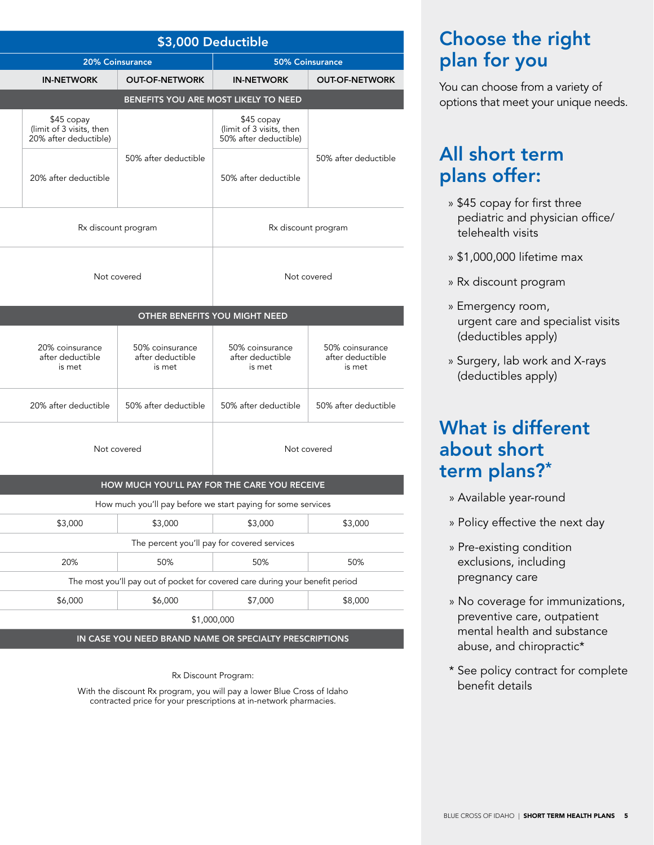| \$3,000 Deductible                                                                                                                    |                                                               |  |  |
|---------------------------------------------------------------------------------------------------------------------------------------|---------------------------------------------------------------|--|--|
| 20% Coinsurance<br>50% Coinsurance                                                                                                    |                                                               |  |  |
| <b>OUT-OF-NETWORK</b><br><b>IN-NETWORK</b><br><b>OUT-OF-NETWORK</b>                                                                   | <b>IN-NETWORK</b>                                             |  |  |
| BENEFITS YOU ARE MOST LIKELY TO NEED                                                                                                  |                                                               |  |  |
| \$45 copay<br>(limit of 3 visits, then)<br>50% after deductible)                                                                      | \$45 copay<br>Imit of 3 visits, then<br>20% after deductible) |  |  |
| 50% after deductible<br>50% after deductible                                                                                          |                                                               |  |  |
| 50% after deductible                                                                                                                  | 20% after deductible                                          |  |  |
| Rx discount program<br>Rx discount program                                                                                            |                                                               |  |  |
|                                                                                                                                       |                                                               |  |  |
| Not covered<br>Not covered                                                                                                            |                                                               |  |  |
| OTHER BENEFITS YOU MIGHT NEED                                                                                                         |                                                               |  |  |
| 50% coinsurance<br>50% coinsurance<br>50% coinsurance<br>after deductible<br>after deductible<br>after deductible<br>is met<br>is met | 20% coinsurance<br>after deductible<br>is met                 |  |  |
| 50% after deductible<br>50% after deductible<br>50% after deductible                                                                  | 20% after deductible                                          |  |  |
| Not covered<br>Not covered                                                                                                            |                                                               |  |  |
|                                                                                                                                       |                                                               |  |  |
| HOW MUCH YOU'LL PAY FOR THE CARE YOU RECEIVE                                                                                          |                                                               |  |  |
| How much you'll pay before we start paying for some services                                                                          |                                                               |  |  |
| \$3,000<br>\$3,000                                                                                                                    | \$3,000                                                       |  |  |
| The percent you'll pay for covered services                                                                                           |                                                               |  |  |
| 20%<br>50%<br>50%                                                                                                                     |                                                               |  |  |
| The most you'll pay out of pocket for covered care during your benefit period                                                         |                                                               |  |  |
| \$7,000<br>\$6,000                                                                                                                    | \$6,000                                                       |  |  |
| \$1,000,000                                                                                                                           |                                                               |  |  |
| IN CASE YOU NEED BRAND NAME OR SPECIALTY PRESCRIPTIONS                                                                                |                                                               |  |  |

#### Rx Discount Program:

With the discount Rx program, you will pay a lower Blue Cross of Idaho contracted price for your prescriptions at in-network pharmacies.

### Choose the right plan for you

You can choose from a variety of options that meet your unique needs.

### All short term plans offer:

- » \$45 copay for first three pediatric and physician office/ telehealth visits
- » \$1,000,000 lifetime max
- » Rx discount program
- » Emergency room, urgent care and specialist visits (deductibles apply)
- » Surgery, lab work and X-rays (deductibles apply)

### What is different about short term plans?\*

- » Available year-round
- » Policy effective the next day
- » Pre-existing condition exclusions, including pregnancy care
- » No coverage for immunizations, preventive care, outpatient mental health and substance abuse, and chiropractic\*
- \* See policy contract for complete benefit details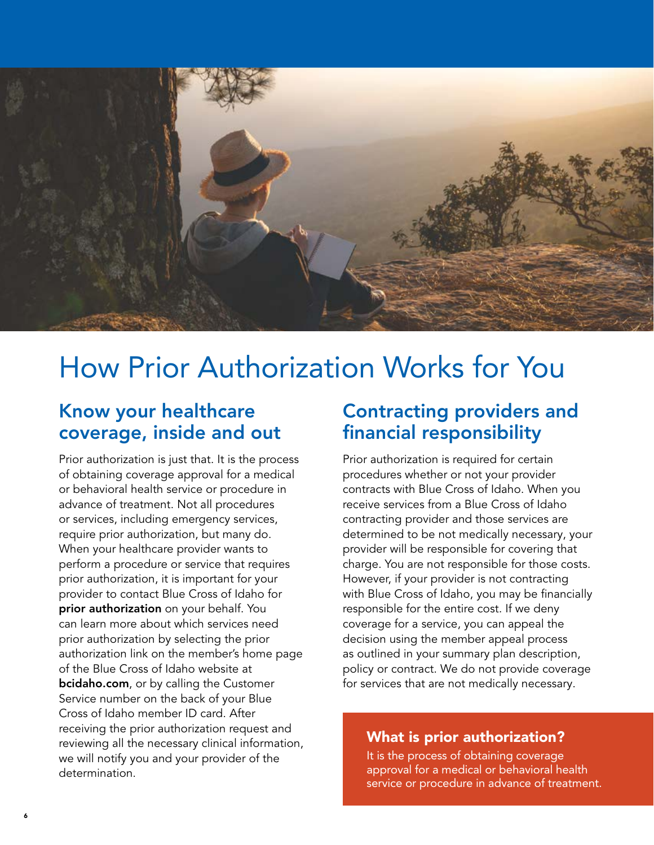

# How Prior Authorization Works for You

### Know your healthcare coverage, inside and out

Prior authorization is just that. It is the process of obtaining coverage approval for a medical or behavioral health service or procedure in advance of treatment. Not all procedures or services, including emergency services, require prior authorization, but many do. When your healthcare provider wants to perform a procedure or service that requires prior authorization, it is important for your provider to contact Blue Cross of Idaho for prior authorization on your behalf. You can learn more about which services need prior authorization by selecting the prior authorization link on the member's home page of the Blue Cross of Idaho website at **bcidaho.com**, or by calling the Customer Service number on the back of your Blue Cross of Idaho member ID card. After receiving the prior authorization request and reviewing all the necessary clinical information, we will notify you and your provider of the determination.

### Contracting providers and financial responsibility

Prior authorization is required for certain procedures whether or not your provider contracts with Blue Cross of Idaho. When you receive services from a Blue Cross of Idaho contracting provider and those services are determined to be not medically necessary, your provider will be responsible for covering that charge. You are not responsible for those costs. However, if your provider is not contracting with Blue Cross of Idaho, you may be financially responsible for the entire cost. If we deny coverage for a service, you can appeal the decision using the member appeal process as outlined in your summary plan description, policy or contract. We do not provide coverage for services that are not medically necessary.

### What is prior authorization?

It is the process of obtaining coverage approval for a medical or behavioral health service or procedure in advance of treatment.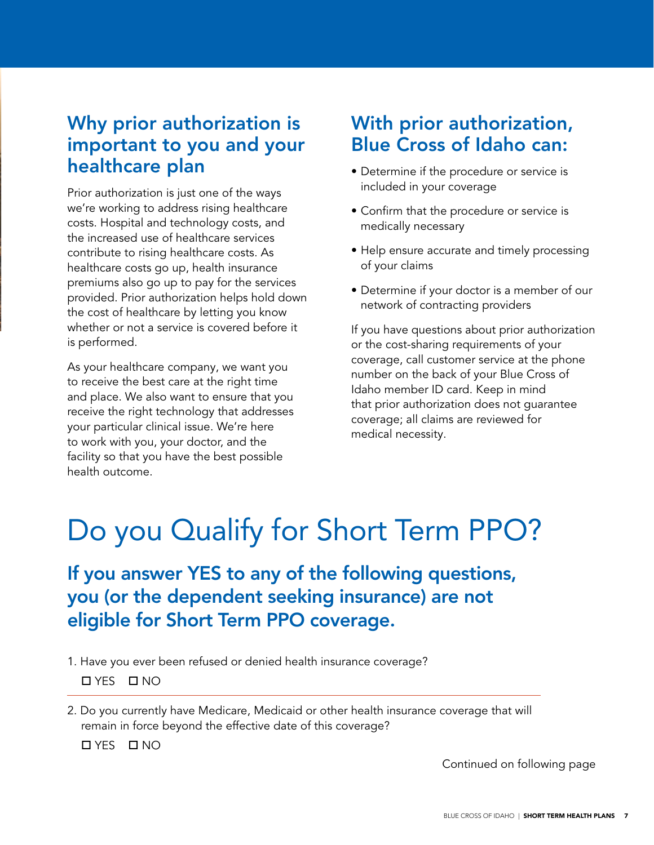### Why prior authorization is important to you and your healthcare plan

Prior authorization is just one of the ways we're working to address rising healthcare costs. Hospital and technology costs, and the increased use of healthcare services contribute to rising healthcare costs. As healthcare costs go up, health insurance premiums also go up to pay for the services provided. Prior authorization helps hold down the cost of healthcare by letting you know whether or not a service is covered before it is performed.

As your healthcare company, we want you to receive the best care at the right time and place. We also want to ensure that you receive the right technology that addresses your particular clinical issue. We're here to work with you, your doctor, and the facility so that you have the best possible health outcome.

### With prior authorization, Blue Cross of Idaho can:

- Determine if the procedure or service is included in your coverage
- Confirm that the procedure or service is medically necessary
- Help ensure accurate and timely processing of your claims
- Determine if your doctor is a member of our network of contracting providers

If you have questions about prior authorization or the cost-sharing requirements of your coverage, call customer service at the phone number on the back of your Blue Cross of Idaho member ID card. Keep in mind that prior authorization does not guarantee coverage; all claims are reviewed for medical necessity.

# Do you Qualify for Short Term PPO?

If you answer YES to any of the following questions, you (or the dependent seeking insurance) are not eligible for Short Term PPO coverage.

1. Have you ever been refused or denied health insurance coverage?

YES NO

2. Do you currently have Medicare, Medicaid or other health insurance coverage that will remain in force beyond the effective date of this coverage?

YES NO

Continued on following page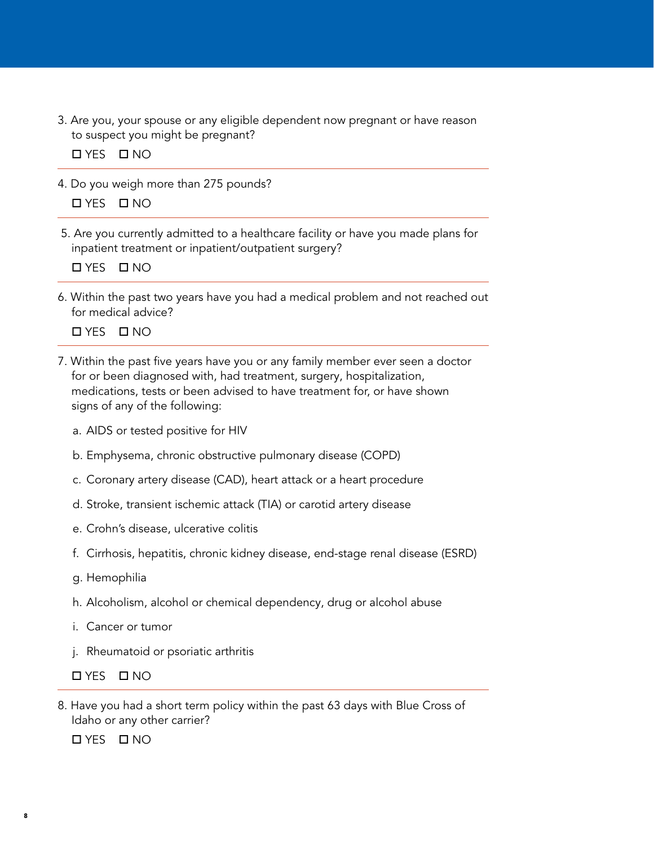3. Are you, your spouse or any eligible dependent now pregnant or have reason to suspect you might be pregnant?

YES NO

- 4. Do you weigh more than 275 pounds? YES NO
- 5. Are you currently admitted to a healthcare facility or have you made plans for inpatient treatment or inpatient/outpatient surgery?

YES NO

6. Within the past two years have you had a medical problem and not reached out for medical advice?

YES NO

- 7. Within the past five years have you or any family member ever seen a doctor for or been diagnosed with, had treatment, surgery, hospitalization, medications, tests or been advised to have treatment for, or have shown signs of any of the following:
	- a. AIDS or tested positive for HIV
	- b. Emphysema, chronic obstructive pulmonary disease (COPD)
	- c. Coronary artery disease (CAD), heart attack or a heart procedure
	- d. Stroke, transient ischemic attack (TIA) or carotid artery disease
	- e. Crohn's disease, ulcerative colitis
	- f. Cirrhosis, hepatitis, chronic kidney disease, end-stage renal disease (ESRD)
	- g. Hemophilia
	- h. Alcoholism, alcohol or chemical dependency, drug or alcohol abuse
	- i. Cancer or tumor
	- j. Rheumatoid or psoriatic arthritis

YES NO

8. Have you had a short term policy within the past 63 days with Blue Cross of Idaho or any other carrier?

YES NO

8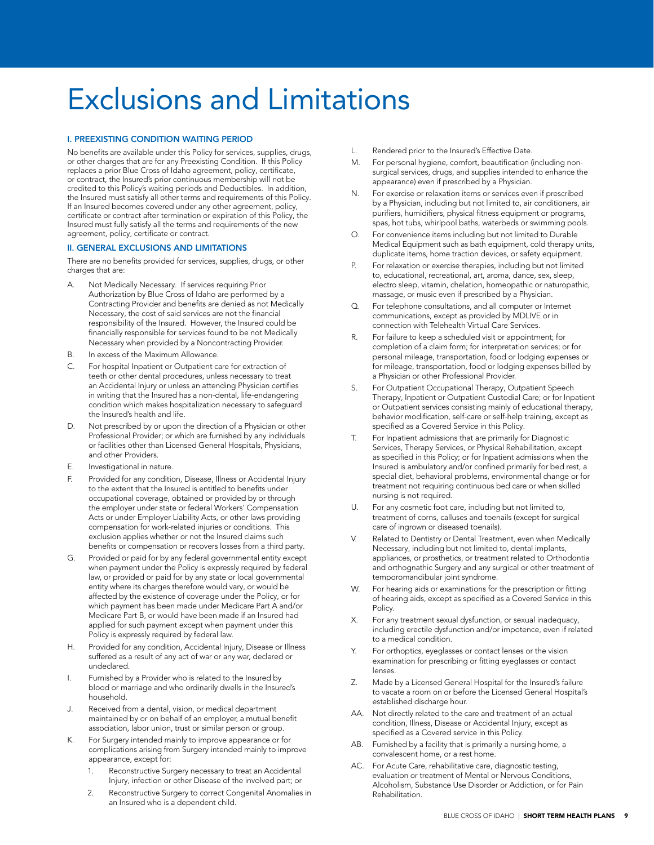# Exclusions and Limitations

#### I. PREEXISTING CONDITION WAITING PERIOD

No benefits are available under this Policy for services, supplies, drugs, or other charges that are for any Preexisting Condition. If this Policy replaces a prior Blue Cross of Idaho agreement, policy, certificate, or contract, the Insured's prior continuous membership will not be credited to this Policy's waiting periods and Deductibles. In addition, the Insured must satisfy all other terms and requirements of this Policy. If an Insured becomes covered under any other agreement, policy, certificate or contract after termination or expiration of this Policy, the Insured must fully satisfy all the terms and requirements of the new agreement, policy, certificate or contract.

#### II. GENERAL EXCLUSIONS AND LIMITATIONS

There are no benefits provided for services, supplies, drugs, or other charges that are:

- A. Not Medically Necessary. If services requiring Prior Authorization by Blue Cross of Idaho are performed by a Contracting Provider and benefits are denied as not Medically Necessary, the cost of said services are not the financial responsibility of the Insured. However, the Insured could be financially responsible for services found to be not Medically Necessary when provided by a Noncontracting Provider.
- B. In excess of the Maximum Allowance.
- C. For hospital Inpatient or Outpatient care for extraction of teeth or other dental procedures, unless necessary to treat an Accidental Injury or unless an attending Physician certifies in writing that the Insured has a non-dental, life-endangering condition which makes hospitalization necessary to safeguard the Insured's health and life.
- D. Not prescribed by or upon the direction of a Physician or other Professional Provider; or which are furnished by any individuals or facilities other than Licensed General Hospitals, Physicians, and other Providers.
- E. Investigational in nature.
- F. Provided for any condition, Disease, Illness or Accidental Injury to the extent that the Insured is entitled to benefits under occupational coverage, obtained or provided by or through the employer under state or federal Workers' Compensation Acts or under Employer Liability Acts, or other laws providing compensation for work‑related injuries or conditions. This exclusion applies whether or not the Insured claims such benefits or compensation or recovers losses from a third party.
- G. Provided or paid for by any federal governmental entity except when payment under the Policy is expressly required by federal law, or provided or paid for by any state or local governmental entity where its charges therefore would vary, or would be affected by the existence of coverage under the Policy, or for which payment has been made under Medicare Part A and/or Medicare Part B, or would have been made if an Insured had applied for such payment except when payment under this Policy is expressly required by federal law.
- H. Provided for any condition, Accidental Injury, Disease or Illness suffered as a result of any act of war or any war, declared or undeclared.
- I. Furnished by a Provider who is related to the Insured by blood or marriage and who ordinarily dwells in the Insured's household.
- J. Received from a dental, vision, or medical department maintained by or on behalf of an employer, a mutual benefit association, labor union, trust or similar person or group.
- K. For Surgery intended mainly to improve appearance or for complications arising from Surgery intended mainly to improve appearance, except for:
	- 1. Reconstructive Surgery necessary to treat an Accidental Injury, infection or other Disease of the involved part; or
	- 2. Reconstructive Surgery to correct Congenital Anomalies in an Insured who is a dependent child.
- L. Rendered prior to the Insured's Effective Date.
- M. For personal hygiene, comfort, beautification (including nonsurgical services, drugs, and supplies intended to enhance the appearance) even if prescribed by a Physician.
- N. For exercise or relaxation items or services even if prescribed by a Physician, including but not limited to, air conditioners, air purifiers, humidifiers, physical fitness equipment or programs, spas, hot tubs, whirlpool baths, waterbeds or swimming pools.
- O. For convenience items including but not limited to Durable Medical Equipment such as bath equipment, cold therapy units, duplicate items, home traction devices, or safety equipment.
- P. For relaxation or exercise therapies, including but not limited to, educational, recreational, art, aroma, dance, sex, sleep, electro sleep, vitamin, chelation, homeopathic or naturopathic, massage, or music even if prescribed by a Physician.
- Q. For telephone consultations, and all computer or Internet communications, except as provided by MDLIVE or in connection with Telehealth Virtual Care Services.
- R. For failure to keep a scheduled visit or appointment; for completion of a claim form; for interpretation services; or for personal mileage, transportation, food or lodging expenses or for mileage, transportation, food or lodging expenses billed by a Physician or other Professional Provider.
- S. For Outpatient Occupational Therapy, Outpatient Speech Therapy, Inpatient or Outpatient Custodial Care; or for Inpatient or Outpatient services consisting mainly of educational therapy, behavior modification, self-care or self-help training, except as specified as a Covered Service in this Policy.
- T. For Inpatient admissions that are primarily for Diagnostic Services, Therapy Services, or Physical Rehabilitation, except as specified in this Policy; or for Inpatient admissions when the Insured is ambulatory and/or confined primarily for bed rest, a special diet, behavioral problems, environmental change or for treatment not requiring continuous bed care or when skilled nursing is not required.
- U. For any cosmetic foot care, including but not limited to, treatment of corns, calluses and toenails (except for surgical care of ingrown or diseased toenails).
- V. Related to Dentistry or Dental Treatment, even when Medically Necessary, including but not limited to, dental implants, appliances, or prosthetics, or treatment related to Orthodontia and orthognathic Surgery and any surgical or other treatment of temporomandibular joint syndrome.
- W. For hearing aids or examinations for the prescription or fitting of hearing aids, except as specified as a Covered Service in this Policy.
- X. For any treatment sexual dysfunction, or sexual inadequacy, including erectile dysfunction and/or impotence, even if related to a medical condition.
- Y. For orthoptics, eyeglasses or contact lenses or the vision examination for prescribing or fitting eyeglasses or contact lenses.
- Z. Made by a Licensed General Hospital for the Insured's failure to vacate a room on or before the Licensed General Hospital's established discharge hour.
- AA. Not directly related to the care and treatment of an actual condition, Illness, Disease or Accidental Injury, except as specified as a Covered service in this Policy.
- AB. Furnished by a facility that is primarily a nursing home, a convalescent home, or a rest home.
- AC. For Acute Care, rehabilitative care, diagnostic testing, evaluation or treatment of Mental or Nervous Conditions, Alcoholism, Substance Use Disorder or Addiction, or for Pain Rehabilitation.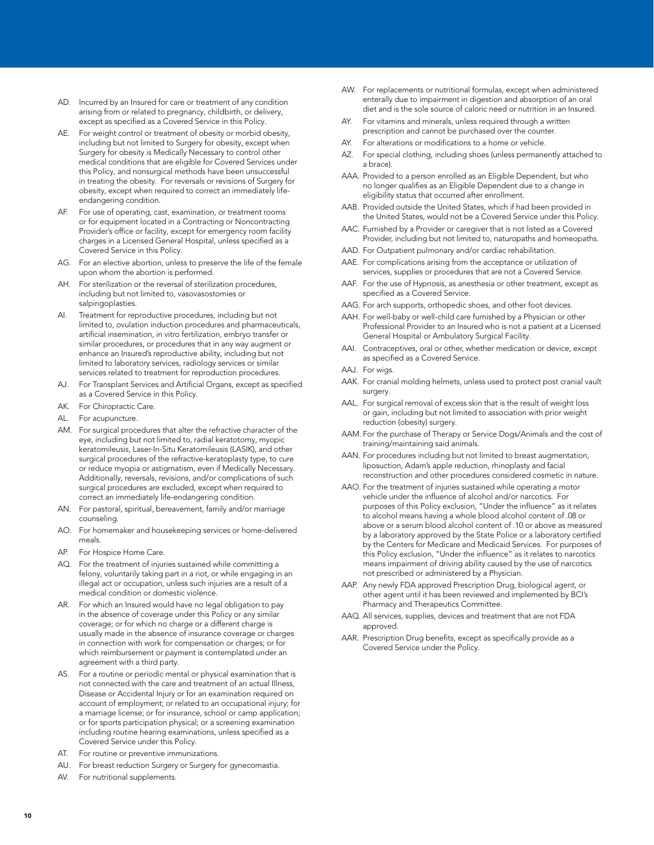- AD. Incurred by an Insured for care or treatment of any condition arising from or related to pregnancy, childbirth, or delivery, except as specified as a Covered Service in this Policy.
- AE. For weight control or treatment of obesity or morbid obesity, including but not limited to Surgery for obesity, except when Surgery for obesity is Medically Necessary to control other medical conditions that are eligible for Covered Services under this Policy, and nonsurgical methods have been unsuccessful in treating the obesity. For reversals or revisions of Surgery for obesity, except when required to correct an immediately lifeendangering condition.
- AF. For use of operating, cast, examination, or treatment rooms or for equipment located in a Contracting or Noncontracting Provider's office or facility, except for emergency room facility charges in a Licensed General Hospital, unless specified as a Covered Service in this Policy.
- AG. For an elective abortion, unless to preserve the life of the female upon whom the abortion is performed.
- AH. For sterilization or the reversal of sterilization procedures, including but not limited to, vasovasostomies or salpingoplasties.
- AI. Treatment for reproductive procedures, including but not limited to, ovulation induction procedures and pharmaceuticals, artificial insemination, in vitro fertilization, embryo transfer or similar procedures, or procedures that in any way augment or enhance an Insured's reproductive ability, including but not limited to laboratory services, radiology services or similar services related to treatment for reproduction procedures.
- AJ. For Transplant Services and Artificial Organs, except as specified as a Covered Service in this Policy.
- AK. For Chiropractic Care.
- AL. For acupuncture.
- AM. For surgical procedures that alter the refractive character of the eye, including but not limited to, radial keratotomy, myopic keratomileusis, Laser-In-Situ Keratomileusis (LASIK), and other surgical procedures of the refractive-keratoplasty type, to cure or reduce myopia or astigmatism, even if Medically Necessary. Additionally, reversals, revisions, and/or complications of such surgical procedures are excluded, except when required to correct an immediately life-endangering condition.
- AN. For pastoral, spiritual, bereavement, family and/or marriage counseling.
- AO. For homemaker and housekeeping services or home-delivered meals.
- AP. For Hospice Home Care.
- AQ. For the treatment of injuries sustained while committing a felony, voluntarily taking part in a riot, or while engaging in an illegal act or occupation, unless such injuries are a result of a medical condition or domestic violence.
- AR. For which an Insured would have no legal obligation to pay in the absence of coverage under this Policy or any similar coverage; or for which no charge or a different charge is usually made in the absence of insurance coverage or charges in connection with work for compensation or charges; or for which reimbursement or payment is contemplated under an agreement with a third party.
- AS. For a routine or periodic mental or physical examination that is not connected with the care and treatment of an actual Illness, Disease or Accidental Injury or for an examination required on account of employment; or related to an occupational injury; for a marriage license; or for insurance, school or camp application; or for sports participation physical; or a screening examination including routine hearing examinations, unless specified as a Covered Service under this Policy.
- AT. For routine or preventive immunizations.
- AU. For breast reduction Surgery or Surgery for gynecomastia.
- AV. For nutritional supplements.
- AW. For replacements or nutritional formulas, except when administered enterally due to impairment in digestion and absorption of an oral diet and is the sole source of caloric need or nutrition in an Insured.
- AY. For vitamins and minerals, unless required through a written prescription and cannot be purchased over the counter.
- AY. For alterations or modifications to a home or vehicle.
- AZ. For special clothing, including shoes (unless permanently attached to a brace).
- AAA. Provided to a person enrolled as an Eligible Dependent, but who no longer qualifies as an Eligible Dependent due to a change in eligibility status that occurred after enrollment.
- AAB. Provided outside the United States, which if had been provided in the United States, would not be a Covered Service under this Policy.
- AAC. Furnished by a Provider or caregiver that is not listed as a Covered Provider, including but not limited to, naturopaths and homeopaths.
- AAD. For Outpatient pulmonary and/or cardiac rehabilitation.
- AAE. For complications arising from the acceptance or utilization of services, supplies or procedures that are not a Covered Service.
- AAF. For the use of Hypnosis, as anesthesia or other treatment, except as specified as a Covered Service.
- AAG. For arch supports, orthopedic shoes, and other foot devices.
- AAH. For well-baby or well-child care furnished by a Physician or other Professional Provider to an Insured who is not a patient at a Licensed General Hospital or Ambulatory Surgical Facility.
- AAI. Contraceptives, oral or other, whether medication or device, except as specified as a Covered Service.
- AAJ. For wigs.
- AAK. For cranial molding helmets, unless used to protect post cranial vault surgery.
- AAL. For surgical removal of excess skin that is the result of weight loss or gain, including but not limited to association with prior weight reduction (obesity) surgery.
- AAM. For the purchase of Therapy or Service Dogs/Animals and the cost of training/maintaining said animals.
- AAN. For procedures including but not limited to breast augmentation, liposuction, Adam's apple reduction, rhinoplasty and facial reconstruction and other procedures considered cosmetic in nature.
- AAO. For the treatment of injuries sustained while operating a motor vehicle under the influence of alcohol and/or narcotics. For purposes of this Policy exclusion, "Under the influence" as it relates to alcohol means having a whole blood alcohol content of .08 or above or a serum blood alcohol content of .10 or above as measured by a laboratory approved by the State Police or a laboratory certified by the Centers for Medicare and Medicaid Services. For purposes of this Policy exclusion, "Under the influence" as it relates to narcotics means impairment of driving ability caused by the use of narcotics not prescribed or administered by a Physician.
- AAP. Any newly FDA approved Prescription Drug, biological agent, or other agent until it has been reviewed and implemented by BCI's Pharmacy and Therapeutics Committee.
- AAQ. All services, supplies, devices and treatment that are not FDA approved.
- AAR. Prescription Drug benefits, except as specifically provide as a Covered Service under the Policy.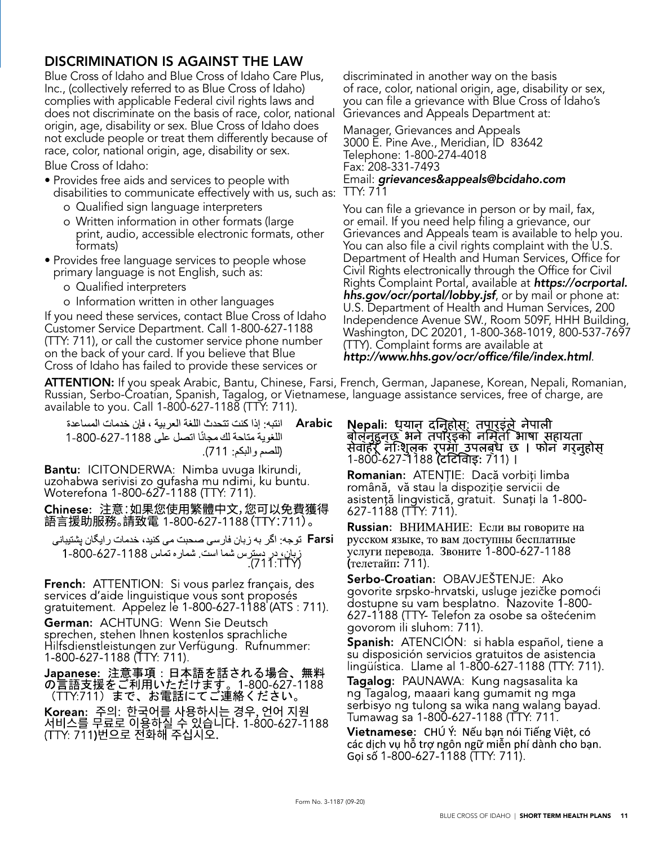#### DISCRIMINATION IS AGAINST THE LAW

Blue Cross of Idaho and Blue Cross of Idaho Care Plus, Inc., (collectively referred to as Blue Cross of Idaho) complies with applicable Federal civil rights laws and does not discriminate on the basis of race, color, national origin, age, disability or sex. Blue Cross of Idaho does not exclude people or treat them differently because of race, color, national origin, age, disability or sex.

Blue Cross of Idaho:

- Provides free aids and services to people with disabilities to communicate effectively with us, such as:
	- o Qualified sign language interpreters
	- o Written information in other formats (large print, audio, accessible electronic formats, other formats)
- Provides free language services to people whose primary language is not English, such as:
	- o Qualified interpreters
	- o Information written in other languages

If you need these services, contact Blue Cross of Idaho Customer Service Department. Call 1-800-627-1188 (TTY: 711), or call the customer service phone number on the back of your card. If you believe that Blue Cross of Idaho has failed to provide these services or

discriminated in another way on the basis of race, color, national origin, age, disability or sex, you can file a grievance with Blue Cross of Idaho's Grievances and Appeals Department at:

Manager, Grievances and Appeals 3000 E. Pine Ave., Meridian, ID 83642 Telephone: 1-800-274-4018 Fax: 208-331-7493 Email: grievances&appeals@bcidaho.com TTY: 711

You can file a grievance in person or by mail, fax, or email. If you need help filing a grievance, our Grievances and Appeals team is available to help you. You can also file a civil rights complaint with the U.S. Department of Health and Human Services, Office for Civil Rights electronically through the Office for Civil Rights Complaint Portal, available at https://ocrportal. hhs.gov/ocr/portal/lobby.jsf, or by mail or phone at: U.S. Department of Health and Human Services, 200 Independence Avenue SW., Room 509F, HHH Building, Washington, DC 20201, 1-800-368-1019, 800-537-7697 (TTY). Complaint forms are available at http://www.hhs.gov/ocr/office/file/index.html.

ATTENTION: If you speak Arabic, Bantu, Chinese, Farsi, French, German, Japanese, Korean, Nepali, Romanian, Russian, Serbo-Croatian, Spanish, Tagalog, or Vietnamese, language assistance services, free of charge, are available to you. Call 1-800-627-1188 (TTY: 711).

انتبه: إذا كنت تتحدث اللغة العر بية ، فإن خدمات المساعدة Arabic اللغوية متاحة لك مجانًا اتصل على 1188-627-800-1 (للصم والبكم: 711).

Bantu: ICITONDERWA: Nimba uvuga Ikirundi, uzohabwa serivisi zo gufasha mu ndimi, ku buntu. Woterefona 1-800-627-1188 (TTY: 711).

Chinese: 注意:如果您使用繁體中文,您可以免費獲得 語言援助服務。請致電 1-800-627-1188(TTY:711)。

Farsi توجه: اگر به زبان فارسی صحبت می کنید، خدمات ر ایگان پشتیبانی زبان، در دسترس شما است. شماره نماس 1188-627-800-1<br>(711:TTY).

**French:** ATTENTION: Si vous parlez français, des services d'aide linguistique vous sont proposés<br>gratuitement. Appelez le 1-800-627-1188 (ATS : 711).

German: ACHTUNG: Wenn Sie Deutsch sprechen, stehen Ihnen kostenlos sprachliche Hilfsdienstleistungen zur Verfügung. Rufnummer: 1-800-627-1188 (TTY: 711).

Japanese: 注意事項:日本語を話される場合、無料 の言語支援をご利用いただけます。1-800-627-1188<br>(TTY:711)まで、お電話にてご連絡ください。

**Korean:** 주의: 한국어를 사용하시는 경우, 언어 지원<br>서비스를 무료로 이용하실 수 있습니다. 1-800-627-1188<br>(TTY: 711**)**번으로 전화해 주십시오**.** 

**Nepali:** ध्यान दनिहोस: तपारइंले नेपाली<br>बोलनुहुनछ भने तपोरइंको नमिता भाषा सहायता<br>सेवाहर नःशुलक रूपमा उपलबध छ । फोन गर्नुहोस्<br>1-800-627-1188 (टर्टिवािइ: 711) ।

**Romanian:** ATENȚIE: Dacă vorbiți limba română, vă stau la dispoziție servicii de asistență lingvistică, gratuit. Sunați la 1-800-627-1188 (TTY: 711).

Russian: ВНИМАНИЕ: Если вы говорите на русском языке, то вам доступны бесплатные услуги перевода. Звоните 1-800-627-1188 (телетайп: 711).

Serbo-Croatian: OBAVJEŠTENJE: Ako govorite srpsko-hrvatski, usluge jezičke pomoći dostupne su vam besplatno. Nazovite 1-800-627-1188 (TTY- Telefon za osobe sa oštećenim govorom ili sluhom: 711).

**Spanish:** ATENCION: si habla español, tiene a su disposición servicios gratuitos de asistencia lingüística. Llame al 1-800-627-1188 (TTY: 711).

Tagalog: PAUNAWA: Kung nagsasalita ka ng Tagalog, maaari kang gumamit ng mga serbisyo ng tulong sa wika nang walang bayad. Tumawag sa 1-800-627-1188 (TTY: 711.

Vietnamese: CHÚ Ý: Nếu bạn nói Tiếng Việt, có các dịch vụ hỗ trợ ngôn ngữ miễn phí dành cho bạn. Gọi số 1-800-627-1188 (TTY: 711).